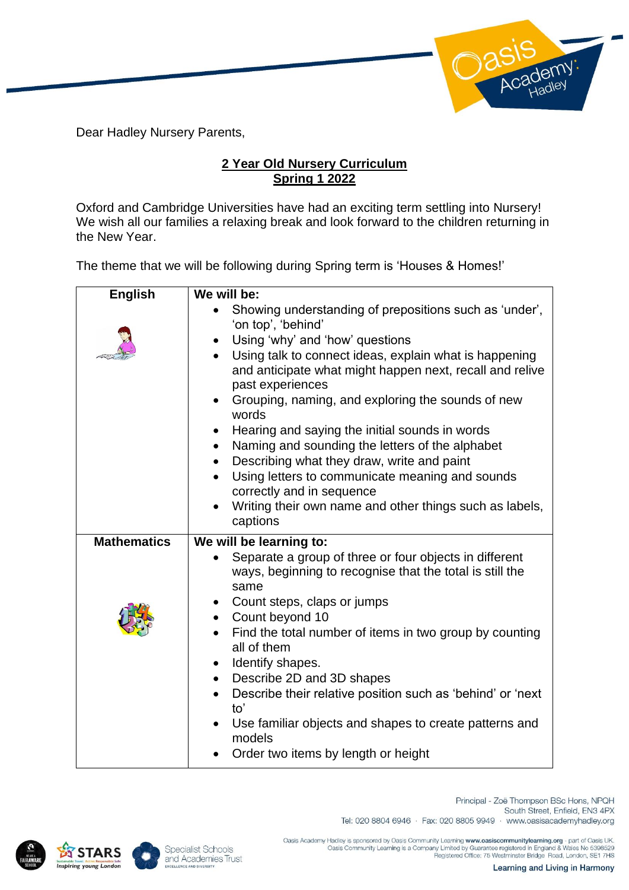Dear Hadley Nursery Parents,

## **2 Year Old Nursery Curriculum Spring 1 2022**

Oxford and Cambridge Universities have had an exciting term settling into Nursery! We wish all our families a relaxing break and look forward to the children returning in the New Year.

The theme that we will be following during Spring term is 'Houses & Homes!'

| <b>English</b>     | We will be:                                                                                                                            |
|--------------------|----------------------------------------------------------------------------------------------------------------------------------------|
|                    | Showing understanding of prepositions such as 'under',<br>'on top', 'behind'                                                           |
|                    | Using 'why' and 'how' questions<br>$\bullet$                                                                                           |
|                    | Using talk to connect ideas, explain what is happening<br>and anticipate what might happen next, recall and relive<br>past experiences |
|                    | Grouping, naming, and exploring the sounds of new<br>$\bullet$<br>words                                                                |
|                    | Hearing and saying the initial sounds in words<br>$\bullet$<br>Naming and sounding the letters of the alphabet<br>$\bullet$            |
|                    | Describing what they draw, write and paint<br>$\bullet$                                                                                |
|                    | Using letters to communicate meaning and sounds<br>$\bullet$                                                                           |
|                    | correctly and in sequence                                                                                                              |
|                    | Writing their own name and other things such as labels,<br>captions                                                                    |
| <b>Mathematics</b> | We will be learning to:                                                                                                                |
|                    | Separate a group of three or four objects in different<br>ways, beginning to recognise that the total is still the<br>same             |
|                    | Count steps, claps or jumps<br>$\bullet$                                                                                               |
|                    | Count beyond 10<br>$\bullet$                                                                                                           |
|                    | Find the total number of items in two group by counting<br>all of them                                                                 |
|                    | Identify shapes.<br>$\bullet$                                                                                                          |
|                    | Describe 2D and 3D shapes<br>$\bullet$                                                                                                 |
|                    | Describe their relative position such as 'behind' or 'next<br>to'                                                                      |
|                    | Use familiar objects and shapes to create patterns and<br>$\bullet$<br>models                                                          |
|                    | Order two items by length or height                                                                                                    |





Principal - Zoë Thompson BSc Hons, NPQH South Street, Enfield, EN3 4PX Tel: 020 8804 6946 · Fax: 020 8805 9949 · www.oasisacademyhadley.org

.Oasis Academy Hadley is sponsored by Oasis Community Learning www.oasiscommunitylearning.org - part of Oasis UK<br>Oasis Community Learning is a Company Limited by Guarantee registered in England & Wales No 5398529<br>Registere